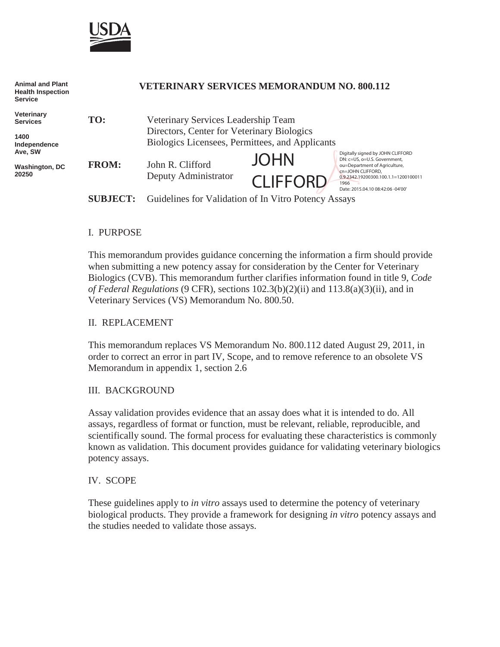

| <b>Animal and Plant</b><br><b>Health Inspection</b><br><b>Service</b> |                 | <b>VETERINARY SERVICES MEMORANDUM NO. 800.112</b>                                                                                    |                 |                                                                                                                                                                                                              |
|-----------------------------------------------------------------------|-----------------|--------------------------------------------------------------------------------------------------------------------------------------|-----------------|--------------------------------------------------------------------------------------------------------------------------------------------------------------------------------------------------------------|
| Veterinary<br><b>Services</b><br>1400<br>Independence                 | TO:             | Veterinary Services Leadership Team<br>Directors, Center for Veterinary Biologics<br>Biologics Licensees, Permittees, and Applicants |                 |                                                                                                                                                                                                              |
|                                                                       |                 |                                                                                                                                      |                 |                                                                                                                                                                                                              |
| Ave, SW<br><b>Washington, DC</b><br>20250                             | <b>FROM:</b>    | John R. Clifford<br>Deputy Administrator                                                                                             | <b>JOHN</b>     | Digitally signed by JOHN CLIFFORD<br>DN: c=US, o=U.S. Government,<br>ou=Department of Agriculture,<br>cn=JOHN CLIFFORD,<br>0.9.2342.19200300.100.1.1=1200100011<br>1966<br>Date: 2015.04.10 08:42:06 -04'00' |
|                                                                       |                 |                                                                                                                                      | <b>CLIFFORD</b> |                                                                                                                                                                                                              |
|                                                                       | <b>SUBJECT:</b> | Guidelines for Validation of In Vitro Potency Assays                                                                                 |                 |                                                                                                                                                                                                              |

#### I. PURPOSE

This memorandum provides guidance concerning the information a firm should provide when submitting a new potency assay for consideration by the Center for Veterinary Biologics (CVB). This memorandum further clarifies information found in title 9, *Code of Federal Regulations* (9 CFR), sections 102.3(b)(2)(ii) and 113.8(a)(3)(ii), and in Veterinary Services (VS) Memorandum No. 800.50.

#### II. REPLACEMENT

This memorandum replaces VS Memorandum No. 800.112 dated August 29, 2011, in order to correct an error in part IV, Scope, and to remove reference to an obsolete VS Memorandum in appendix 1, section 2.6

#### III. BACKGROUND

Assay validation provides evidence that an assay does what it is intended to do. All assays, regardless of format or function, must be relevant, reliable, reproducible, and scientifically sound. The formal process for evaluating these characteristics is commonly known as validation. This document provides guidance for validating veterinary biologics potency assays.

#### IV. SCOPE

These guidelines apply to *in vitro* assays used to determine the potency of veterinary biological products. They provide a framework for designing *in vitro* potency assays and the studies needed to validate those assays.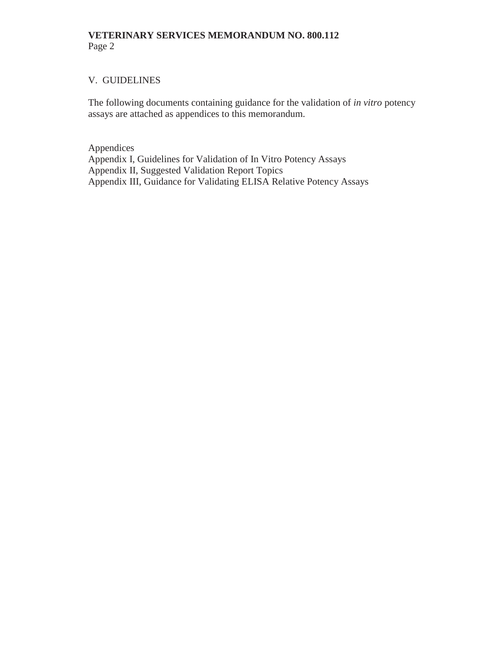## V. GUIDELINES

The following documents containing guidance for the validation of *in vitro* potency assays are attached as appendices to this memorandum.

Appendices Appendix I, Guidelines for Validation of In Vitro Potency Assays Appendix II, Suggested Validation Report Topics Appendix III, Guidance for Validating ELISA Relative Potency Assays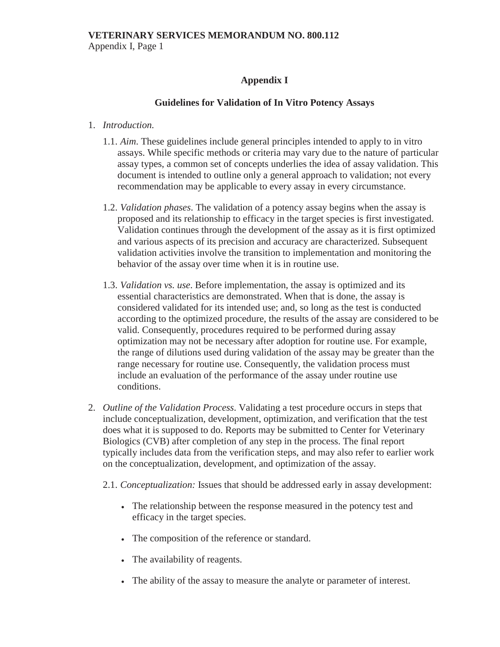Appendix I, Page 1

# **Appendix I**

## **Guidelines for Validation of In Vitro Potency Assays**

#### 1. *Introduction.*

- 1.1. *Aim*. These guidelines include general principles intended to apply to in vitro assays. While specific methods or criteria may vary due to the nature of particular assay types, a common set of concepts underlies the idea of assay validation. This document is intended to outline only a general approach to validation; not every recommendation may be applicable to every assay in every circumstance.
- 1.2. *Validation phases*. The validation of a potency assay begins when the assay is proposed and its relationship to efficacy in the target species is first investigated. Validation continues through the development of the assay as it is first optimized and various aspects of its precision and accuracy are characterized. Subsequent validation activities involve the transition to implementation and monitoring the behavior of the assay over time when it is in routine use.
- 1.3. *Validation vs. use*. Before implementation, the assay is optimized and its essential characteristics are demonstrated. When that is done, the assay is considered validated for its intended use; and, so long as the test is conducted according to the optimized procedure, the results of the assay are considered to be valid. Consequently, procedures required to be performed during assay optimization may not be necessary after adoption for routine use. For example, the range of dilutions used during validation of the assay may be greater than the range necessary for routine use. Consequently, the validation process must include an evaluation of the performance of the assay under routine use conditions.
- 2. *Outline of the Validation Process*. Validating a test procedure occurs in steps that include conceptualization, development, optimization, and verification that the test does what it is supposed to do. Reports may be submitted to Center for Veterinary Biologics (CVB) after completion of any step in the process. The final report typically includes data from the verification steps, and may also refer to earlier work on the conceptualization, development, and optimization of the assay.
	- 2.1. *Conceptualization:* Issues that should be addressed early in assay development:
		- The relationship between the response measured in the potency test and efficacy in the target species.
		- The composition of the reference or standard.
		- The availability of reagents.
		- The ability of the assay to measure the analyte or parameter of interest.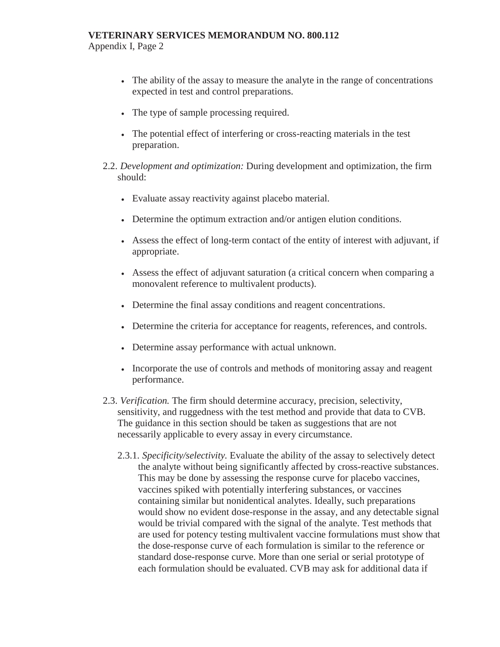Appendix I, Page 2

- The ability of the assay to measure the analyte in the range of concentrations expected in test and control preparations.
- The type of sample processing required.
- The potential effect of interfering or cross-reacting materials in the test preparation.
- 2.2. *Development and optimization:* During development and optimization, the firm should:
	- Evaluate assay reactivity against placebo material.
	- Determine the optimum extraction and/or antigen elution conditions.
	- <sup>x</sup> Assess the effect of long-term contact of the entity of interest with adjuvant, if appropriate.
	- Assess the effect of adjuvant saturation (a critical concern when comparing a monovalent reference to multivalent products).
	- Determine the final assay conditions and reagent concentrations.
	- <sup>x</sup> Determine the criteria for acceptance for reagents, references, and controls.
	- Determine assay performance with actual unknown.
	- Incorporate the use of controls and methods of monitoring assay and reagent performance.
- 2.3. *Verification.* The firm should determine accuracy, precision, selectivity, sensitivity, and ruggedness with the test method and provide that data to CVB. The guidance in this section should be taken as suggestions that are not necessarily applicable to every assay in every circumstance.
	- 2.3.1. *Specificity/selectivity.* Evaluate the ability of the assay to selectively detect the analyte without being significantly affected by cross-reactive substances. This may be done by assessing the response curve for placebo vaccines, vaccines spiked with potentially interfering substances, or vaccines containing similar but nonidentical analytes. Ideally, such preparations would show no evident dose-response in the assay, and any detectable signal would be trivial compared with the signal of the analyte. Test methods that are used for potency testing multivalent vaccine formulations must show that the dose-response curve of each formulation is similar to the reference or standard dose-response curve. More than one serial or serial prototype of each formulation should be evaluated. CVB may ask for additional data if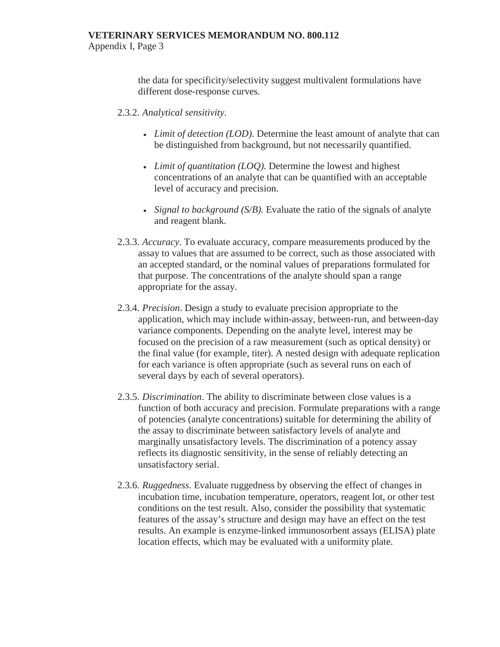the data for specificity/selectivity suggest multivalent formulations have different dose-response curves.

#### 2.3.2. *Analytical sensitivity*.

- *Limit of detection (LOD)*. Determine the least amount of analyte that can be distinguished from background, but not necessarily quantified.
- *Limit of quantitation (LOQ)*. Determine the lowest and highest concentrations of an analyte that can be quantified with an acceptable level of accuracy and precision.
- *Signal to background (S/B)*. Evaluate the ratio of the signals of analyte and reagent blank.
- 2.3.3. *Accuracy*. To evaluate accuracy, compare measurements produced by the assay to values that are assumed to be correct, such as those associated with an accepted standard, or the nominal values of preparations formulated for that purpose. The concentrations of the analyte should span a range appropriate for the assay.
- 2.3.4. *Precision*. Design a study to evaluate precision appropriate to the application, which may include within-assay, between-run, and between-day variance components. Depending on the analyte level, interest may be focused on the precision of a raw measurement (such as optical density) or the final value (for example, titer). A nested design with adequate replication for each variance is often appropriate (such as several runs on each of several days by each of several operators).
- 2.3.5. *Discrimination*. The ability to discriminate between close values is a function of both accuracy and precision. Formulate preparations with a range of potencies (analyte concentrations) suitable for determining the ability of the assay to discriminate between satisfactory levels of analyte and marginally unsatisfactory levels. The discrimination of a potency assay reflects its diagnostic sensitivity, in the sense of reliably detecting an unsatisfactory serial.
- 2.3.6. *Ruggedness*. Evaluate ruggedness by observing the effect of changes in incubation time, incubation temperature, operators, reagent lot, or other test conditions on the test result. Also, consider the possibility that systematic features of the assay's structure and design may have an effect on the test results. An example is enzyme-linked immunosorbent assays (ELISA) plate location effects, which may be evaluated with a uniformity plate.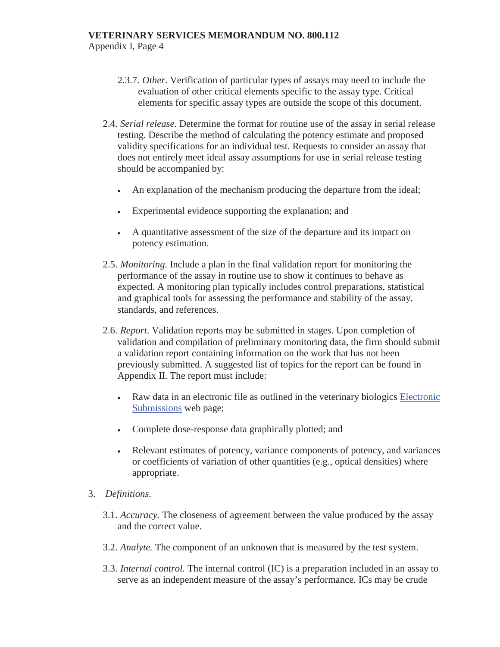Appendix I, Page 4

- 2.3.7. *Other*. Verification of particular types of assays may need to include the evaluation of other critical elements specific to the assay type. Critical elements for specific assay types are outside the scope of this document.
- 2.4. *Serial release*. Determine the format for routine use of the assay in serial release testing. Describe the method of calculating the potency estimate and proposed validity specifications for an individual test. Requests to consider an assay that does not entirely meet ideal assay assumptions for use in serial release testing should be accompanied by:
	- An explanation of the mechanism producing the departure from the ideal;
	- Experimental evidence supporting the explanation; and
	- A quantitative assessment of the size of the departure and its impact on potency estimation.
- 2.5. *Monitoring.* Include a plan in the final validation report for monitoring the performance of the assay in routine use to show it continues to behave as expected. A monitoring plan typically includes control preparations, statistical and graphical tools for assessing the performance and stability of the assay, standards, and references.
- 2.6. *Report*. Validation reports may be submitted in stages. Upon completion of validation and compilation of preliminary monitoring data, the firm should submit a validation report containing information on the work that has not been previously submitted. A suggested list of topics for the report can be found in Appendix II. The report must include:
	- Raw data in an electronic file as outlined in the veterinary biologics Electronic Submissions web page;
	- Complete dose-response data graphically plotted; and
	- <sup>x</sup> Relevant estimates of potency, variance components of potency, and variances or coefficients of variation of other quantities (e.g., optical densities) where appropriate.
- 3. *Definitions*.
	- 3.1. *Accuracy.* The closeness of agreement between the value produced by the assay and the correct value.
	- 3.2. *Analyte.* The component of an unknown that is measured by the test system.
	- 3.3. *Internal control.* The internal control (IC) is a preparation included in an assay to serve as an independent measure of the assay's performance. ICs may be crude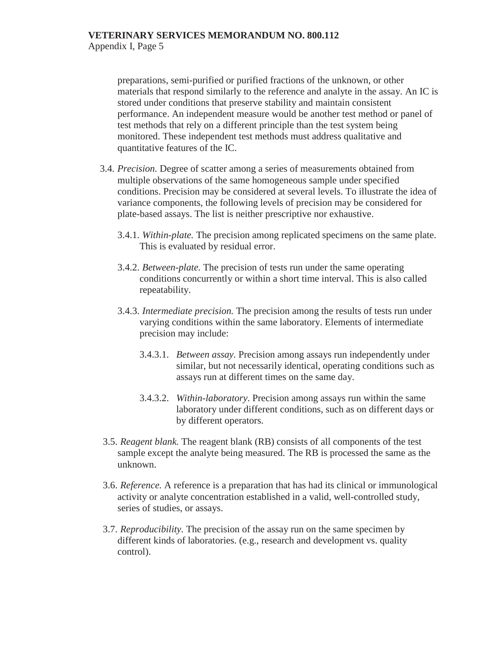Appendix I, Page 5

preparations, semi-purified or purified fractions of the unknown, or other materials that respond similarly to the reference and analyte in the assay. An IC is stored under conditions that preserve stability and maintain consistent performance. An independent measure would be another test method or panel of test methods that rely on a different principle than the test system being monitored. These independent test methods must address qualitative and quantitative features of the IC.

- 3.4. *Precision.* Degree of scatter among a series of measurements obtained from multiple observations of the same homogeneous sample under specified conditions. Precision may be considered at several levels. To illustrate the idea of variance components, the following levels of precision may be considered for plate-based assays. The list is neither prescriptive nor exhaustive.
	- 3.4.1. *Within-plate.* The precision among replicated specimens on the same plate. This is evaluated by residual error.
	- 3.4.2. *Between-plate.* The precision of tests run under the same operating conditions concurrently or within a short time interval. This is also called repeatability.
	- 3.4.3. *Intermediate precision.* The precision among the results of tests run under varying conditions within the same laboratory. Elements of intermediate precision may include:
		- 3.4.3.1. *Between assay.* Precision among assays run independently under similar, but not necessarily identical, operating conditions such as assays run at different times on the same day.
		- 3.4.3.2. *Within-laboratory*. Precision among assays run within the same laboratory under different conditions, such as on different days or by different operators.
- 3.5. *Reagent blank.* The reagent blank (RB) consists of all components of the test sample except the analyte being measured. The RB is processed the same as the unknown.
- 3.6. *Reference.* A reference is a preparation that has had its clinical or immunological activity or analyte concentration established in a valid, well-controlled study, series of studies, or assays.
- 3.7. *Reproducibility.* The precision of the assay run on the same specimen by different kinds of laboratories. (e.g., research and development vs. quality control).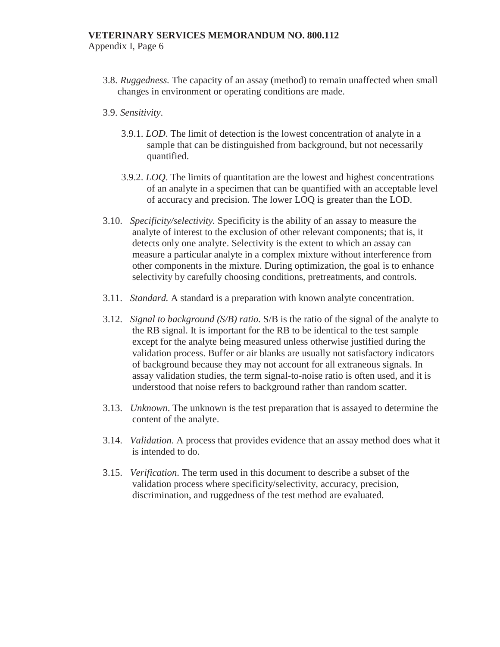Appendix I, Page 6

- 3.8. *Ruggedness.* The capacity of an assay (method) to remain unaffected when small changes in environment or operating conditions are made.
- 3.9. *Sensitivity*.
	- 3.9.1. *LOD*. The limit of detection is the lowest concentration of analyte in a sample that can be distinguished from background, but not necessarily quantified.
	- 3.9.2. *LOQ*. The limits of quantitation are the lowest and highest concentrations of an analyte in a specimen that can be quantified with an acceptable level of accuracy and precision. The lower LOQ is greater than the LOD.
- 3.10. *Specificity/selectivity.* Specificity is the ability of an assay to measure the analyte of interest to the exclusion of other relevant components; that is, it detects only one analyte. Selectivity is the extent to which an assay can measure a particular analyte in a complex mixture without interference from other components in the mixture. During optimization, the goal is to enhance selectivity by carefully choosing conditions, pretreatments, and controls.
- 3.11. *Standard.* A standard is a preparation with known analyte concentration.
- 3.12. *Signal to background (S/B) ratio.* S/B is the ratio of the signal of the analyte to the RB signal. It is important for the RB to be identical to the test sample except for the analyte being measured unless otherwise justified during the validation process. Buffer or air blanks are usually not satisfactory indicators of background because they may not account for all extraneous signals. In assay validation studies, the term signal-to-noise ratio is often used, and it is understood that noise refers to background rather than random scatter.
- 3.13. *Unknown*. The unknown is the test preparation that is assayed to determine the content of the analyte.
- 3.14. *Validation*. A process that provides evidence that an assay method does what it is intended to do.
- 3.15. *Verification*. The term used in this document to describe a subset of the validation process where specificity/selectivity, accuracy, precision, discrimination, and ruggedness of the test method are evaluated.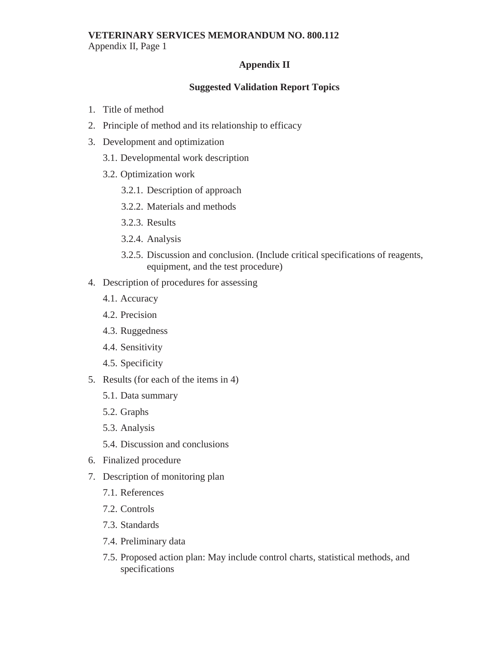#### **VETERINARY SERVICES MEMORANDUM NO. 800.112**  Appendix II, Page 1

## **Appendix II**

## **Suggested Validation Report Topics**

- 1. Title of method
- 2. Principle of method and its relationship to efficacy
- 3. Development and optimization
	- 3.1. Developmental work description
	- 3.2. Optimization work
		- 3.2.1. Description of approach
		- 3.2.2. Materials and methods
		- 3.2.3. Results
		- 3.2.4. Analysis
		- 3.2.5. Discussion and conclusion. (Include critical specifications of reagents, equipment, and the test procedure)
- 4. Description of procedures for assessing
	- 4.1. Accuracy
	- 4.2. Precision
	- 4.3. Ruggedness
	- 4.4. Sensitivity
	- 4.5. Specificity
- 5. Results (for each of the items in 4)
	- 5.1. Data summary
	- 5.2. Graphs
	- 5.3. Analysis
	- 5.4. Discussion and conclusions
- 6. Finalized procedure
- 7. Description of monitoring plan
	- 7.1. References
	- 7.2. Controls
	- 7.3. Standards
	- 7.4. Preliminary data
	- 7.5. Proposed action plan: May include control charts, statistical methods, and specifications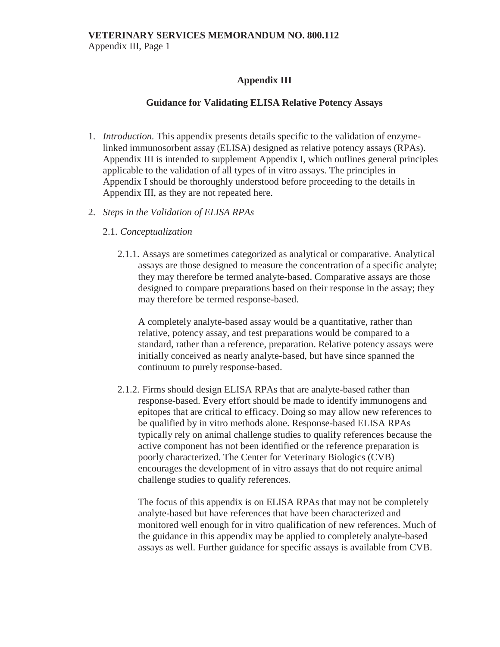Appendix III, Page 1

## **Appendix III**

## **Guidance for Validating ELISA Relative Potency Assays**

- 1. *Introduction.* This appendix presents details specific to the validation of enzymelinked immunosorbent assay (ELISA) designed as relative potency assays (RPAs). Appendix III is intended to supplement Appendix I, which outlines general principles applicable to the validation of all types of in vitro assays. The principles in Appendix I should be thoroughly understood before proceeding to the details in Appendix III, as they are not repeated here.
- 2. *Steps in the Validation of ELISA RPAs*

## 2.1. *Conceptualization*

2.1.1. Assays are sometimes categorized as analytical or comparative. Analytical assays are those designed to measure the concentration of a specific analyte; they may therefore be termed analyte-based. Comparative assays are those designed to compare preparations based on their response in the assay; they may therefore be termed response-based.

A completely analyte-based assay would be a quantitative, rather than relative, potency assay, and test preparations would be compared to a standard, rather than a reference, preparation. Relative potency assays were initially conceived as nearly analyte-based, but have since spanned the continuum to purely response-based.

2.1.2. Firms should design ELISA RPAs that are analyte-based rather than response-based. Every effort should be made to identify immunogens and epitopes that are critical to efficacy. Doing so may allow new references to be qualified by in vitro methods alone. Response-based ELISA RPAs typically rely on animal challenge studies to qualify references because the active component has not been identified or the reference preparation is poorly characterized. The Center for Veterinary Biologics (CVB) encourages the development of in vitro assays that do not require animal challenge studies to qualify references.

The focus of this appendix is on ELISA RPAs that may not be completely analyte-based but have references that have been characterized and monitored well enough for in vitro qualification of new references. Much of the guidance in this appendix may be applied to completely analyte-based assays as well. Further guidance for specific assays is available from CVB.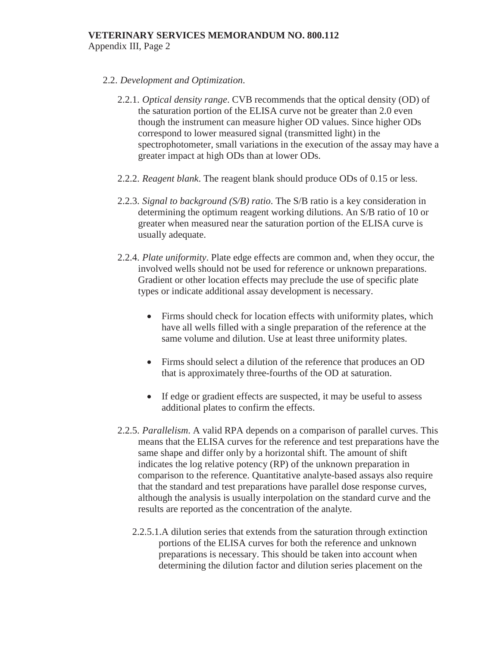- 2.2. *Development and Optimization*.
	- 2.2.1. *Optical density range*. CVB recommends that the optical density (OD) of the saturation portion of the ELISA curve not be greater than 2.0 even though the instrument can measure higher OD values. Since higher ODs correspond to lower measured signal (transmitted light) in the spectrophotometer, small variations in the execution of the assay may have a greater impact at high ODs than at lower ODs.
	- 2.2.2. *Reagent blank*. The reagent blank should produce ODs of 0.15 or less.
	- 2.2.3. *Signal to background (S/B) ratio*. The S/B ratio is a key consideration in determining the optimum reagent working dilutions. An S/B ratio of 10 or greater when measured near the saturation portion of the ELISA curve is usually adequate.
	- 2.2.4. *Plate uniformity*. Plate edge effects are common and, when they occur, the involved wells should not be used for reference or unknown preparations. Gradient or other location effects may preclude the use of specific plate types or indicate additional assay development is necessary.
		- $\bullet$  Firms should check for location effects with uniformity plates, which have all wells filled with a single preparation of the reference at the same volume and dilution. Use at least three uniformity plates.
		- Firms should select a dilution of the reference that produces an OD that is approximately three-fourths of the OD at saturation.
		- If edge or gradient effects are suspected, it may be useful to assess additional plates to confirm the effects.
	- 2.2.5. *Parallelism*. A valid RPA depends on a comparison of parallel curves. This means that the ELISA curves for the reference and test preparations have the same shape and differ only by a horizontal shift. The amount of shift indicates the log relative potency (RP) of the unknown preparation in comparison to the reference. Quantitative analyte-based assays also require that the standard and test preparations have parallel dose response curves, although the analysis is usually interpolation on the standard curve and the results are reported as the concentration of the analyte.
		- 2.2.5.1.A dilution series that extends from the saturation through extinction portions of the ELISA curves for both the reference and unknown preparations is necessary. This should be taken into account when determining the dilution factor and dilution series placement on the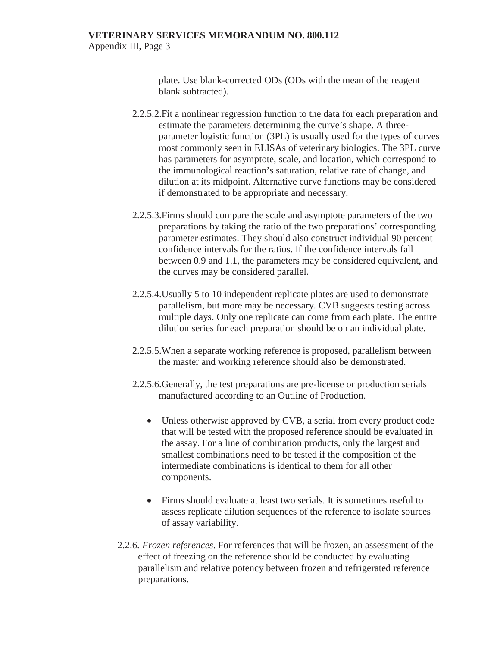Appendix III, Page 3

plate. Use blank-corrected ODs (ODs with the mean of the reagent blank subtracted).

- 2.2.5.2.Fit a nonlinear regression function to the data for each preparation and estimate the parameters determining the curve's shape. A threeparameter logistic function (3PL) is usually used for the types of curves most commonly seen in ELISAs of veterinary biologics. The 3PL curve has parameters for asymptote, scale, and location, which correspond to the immunological reaction's saturation, relative rate of change, and dilution at its midpoint. Alternative curve functions may be considered if demonstrated to be appropriate and necessary.
- 2.2.5.3.Firms should compare the scale and asymptote parameters of the two preparations by taking the ratio of the two preparations' corresponding parameter estimates. They should also construct individual 90 percent confidence intervals for the ratios. If the confidence intervals fall between 0.9 and 1.1, the parameters may be considered equivalent, and the curves may be considered parallel.
- 2.2.5.4.Usually 5 to 10 independent replicate plates are used to demonstrate parallelism, but more may be necessary. CVB suggests testing across multiple days. Only one replicate can come from each plate. The entire dilution series for each preparation should be on an individual plate.
- 2.2.5.5.When a separate working reference is proposed, parallelism between the master and working reference should also be demonstrated.
- 2.2.5.6.Generally, the test preparations are pre-license or production serials manufactured according to an Outline of Production.
	- Unless otherwise approved by CVB, a serial from every product code that will be tested with the proposed reference should be evaluated in the assay. For a line of combination products, only the largest and smallest combinations need to be tested if the composition of the intermediate combinations is identical to them for all other components.
	- x Firms should evaluate at least two serials. It is sometimes useful to assess replicate dilution sequences of the reference to isolate sources of assay variability.
- 2.2.6. *Frozen references*. For references that will be frozen, an assessment of the effect of freezing on the reference should be conducted by evaluating parallelism and relative potency between frozen and refrigerated reference preparations.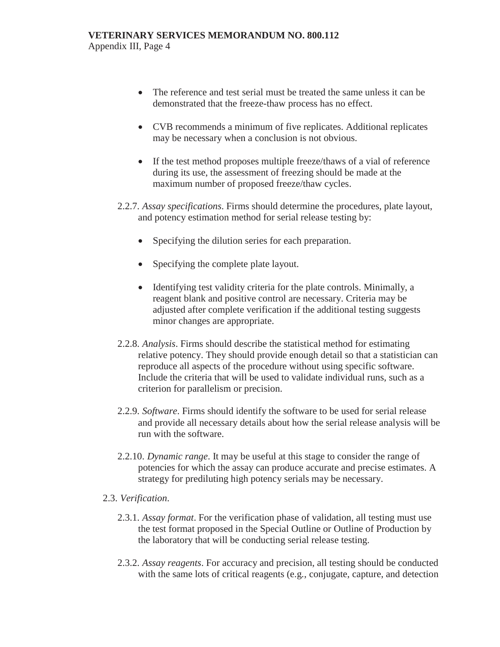Appendix III, Page 4

- The reference and test serial must be treated the same unless it can be demonstrated that the freeze-thaw process has no effect.
- CVB recommends a minimum of five replicates. Additional replicates may be necessary when a conclusion is not obvious.
- If the test method proposes multiple freeze/thaws of a vial of reference during its use, the assessment of freezing should be made at the maximum number of proposed freeze/thaw cycles.
- 2.2.7. *Assay specifications*. Firms should determine the procedures, plate layout, and potency estimation method for serial release testing by:
	- Specifying the dilution series for each preparation.
	- Specifying the complete plate layout.
	- Identifying test validity criteria for the plate controls. Minimally, a reagent blank and positive control are necessary. Criteria may be adjusted after complete verification if the additional testing suggests minor changes are appropriate.
- 2.2.8. *Analysis*. Firms should describe the statistical method for estimating relative potency. They should provide enough detail so that a statistician can reproduce all aspects of the procedure without using specific software. Include the criteria that will be used to validate individual runs, such as a criterion for parallelism or precision.
- 2.2.9. *Software*. Firms should identify the software to be used for serial release and provide all necessary details about how the serial release analysis will be run with the software.
- 2.2.10. *Dynamic range*. It may be useful at this stage to consider the range of potencies for which the assay can produce accurate and precise estimates. A strategy for prediluting high potency serials may be necessary.

## 2.3. *Verification*.

- 2.3.1. *Assay format*. For the verification phase of validation, all testing must use the test format proposed in the Special Outline or Outline of Production by the laboratory that will be conducting serial release testing.
- 2.3.2. *Assay reagents*. For accuracy and precision, all testing should be conducted with the same lots of critical reagents (e.g*.*, conjugate, capture, and detection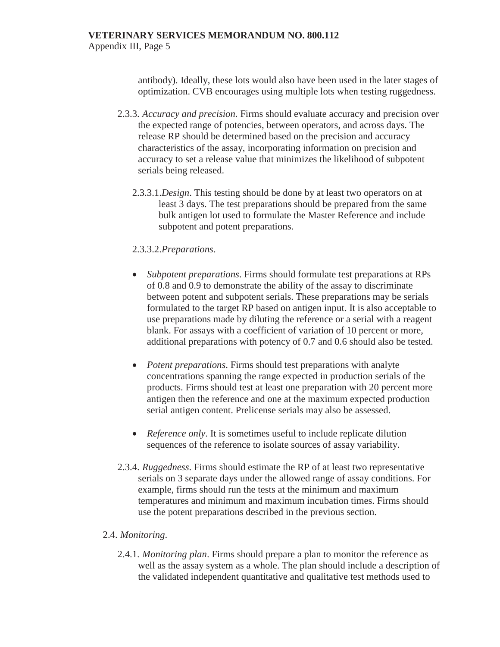antibody). Ideally, these lots would also have been used in the later stages of optimization. CVB encourages using multiple lots when testing ruggedness.

- 2.3.3. *Accuracy and precision*. Firms should evaluate accuracy and precision over the expected range of potencies, between operators, and across days. The release RP should be determined based on the precision and accuracy characteristics of the assay, incorporating information on precision and accuracy to set a release value that minimizes the likelihood of subpotent serials being released.
	- 2.3.3.1.*Design*. This testing should be done by at least two operators on at least 3 days. The test preparations should be prepared from the same bulk antigen lot used to formulate the Master Reference and include subpotent and potent preparations.

## 2.3.3.2.*Preparations*.

- Subpotent preparations. Firms should formulate test preparations at RPs of 0.8 and 0.9 to demonstrate the ability of the assay to discriminate between potent and subpotent serials. These preparations may be serials formulated to the target RP based on antigen input. It is also acceptable to use preparations made by diluting the reference or a serial with a reagent blank. For assays with a coefficient of variation of 10 percent or more, additional preparations with potency of 0.7 and 0.6 should also be tested.
- *Potent preparations*. Firms should test preparations with analyte concentrations spanning the range expected in production serials of the products. Firms should test at least one preparation with 20 percent more antigen then the reference and one at the maximum expected production serial antigen content. Prelicense serials may also be assessed.
- *Reference only*. It is sometimes useful to include replicate dilution sequences of the reference to isolate sources of assay variability.
- 2.3.4. *Ruggedness*. Firms should estimate the RP of at least two representative serials on 3 separate days under the allowed range of assay conditions. For example, firms should run the tests at the minimum and maximum temperatures and minimum and maximum incubation times. Firms should use the potent preparations described in the previous section.

## 2.4. *Monitoring*.

2.4.1. *Monitoring plan*. Firms should prepare a plan to monitor the reference as well as the assay system as a whole. The plan should include a description of the validated independent quantitative and qualitative test methods used to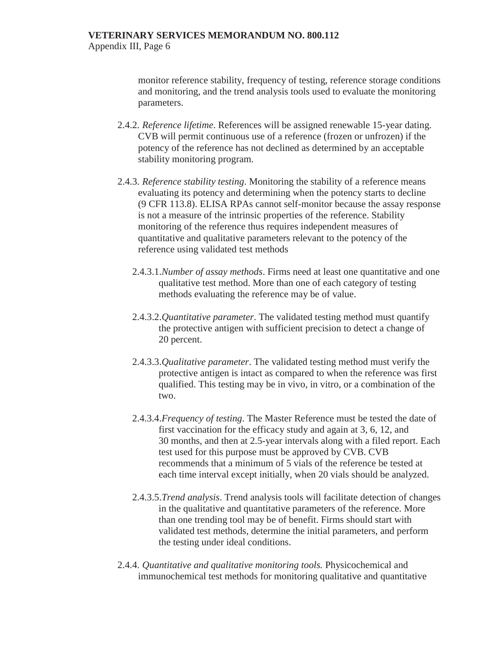monitor reference stability, frequency of testing, reference storage conditions and monitoring, and the trend analysis tools used to evaluate the monitoring parameters.

- 2.4.2. *Reference lifetime*. References will be assigned renewable 15-year dating. CVB will permit continuous use of a reference (frozen or unfrozen) if the potency of the reference has not declined as determined by an acceptable stability monitoring program.
- 2.4.3. *Reference stability testing*. Monitoring the stability of a reference means evaluating its potency and determining when the potency starts to decline (9 CFR 113.8). ELISA RPAs cannot self-monitor because the assay response is not a measure of the intrinsic properties of the reference. Stability monitoring of the reference thus requires independent measures of quantitative and qualitative parameters relevant to the potency of the reference using validated test methods
	- 2.4.3.1.*Number of assay methods*. Firms need at least one quantitative and one qualitative test method. More than one of each category of testing methods evaluating the reference may be of value.
	- 2.4.3.2.*Quantitative parameter*. The validated testing method must quantify the protective antigen with sufficient precision to detect a change of 20 percent.
	- 2.4.3.3.*Qualitative parameter*. The validated testing method must verify the protective antigen is intact as compared to when the reference was first qualified. This testing may be in vivo, in vitro, or a combination of the two.
	- 2.4.3.4.*Frequency of testing*. The Master Reference must be tested the date of first vaccination for the efficacy study and again at 3, 6, 12, and 30 months, and then at 2.5-year intervals along with a filed report. Each test used for this purpose must be approved by CVB. CVB recommends that a minimum of 5 vials of the reference be tested at each time interval except initially, when 20 vials should be analyzed.
	- 2.4.3.5.*Trend analysis*. Trend analysis tools will facilitate detection of changes in the qualitative and quantitative parameters of the reference. More than one trending tool may be of benefit. Firms should start with validated test methods, determine the initial parameters, and perform the testing under ideal conditions.
- 2.4.4. *Quantitative and qualitative monitoring tools.* Physicochemical and immunochemical test methods for monitoring qualitative and quantitative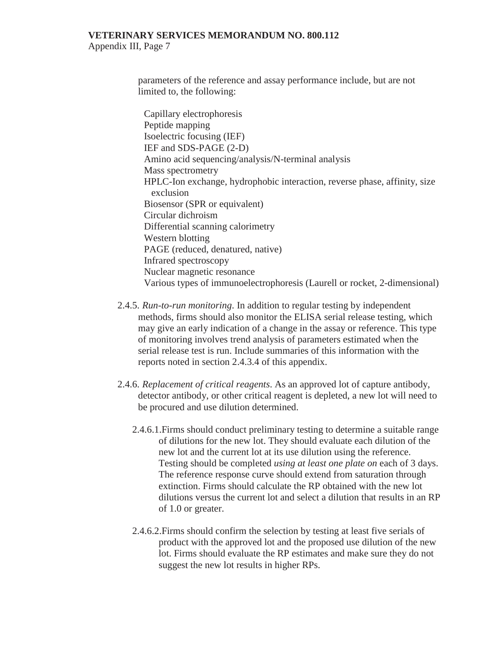Appendix III, Page 7

parameters of the reference and assay performance include, but are not limited to, the following:

Capillary electrophoresis Peptide mapping Isoelectric focusing (IEF) IEF and SDS-PAGE (2-D) Amino acid sequencing/analysis/N-terminal analysis Mass spectrometry HPLC-Ion exchange, hydrophobic interaction, reverse phase, affinity, size exclusion Biosensor (SPR or equivalent) Circular dichroism Differential scanning calorimetry Western blotting PAGE (reduced, denatured, native) Infrared spectroscopy Nuclear magnetic resonance Various types of immunoelectrophoresis (Laurell or rocket, 2-dimensional)

- 2.4.5. *Run-to-run monitoring*. In addition to regular testing by independent methods, firms should also monitor the ELISA serial release testing, which may give an early indication of a change in the assay or reference. This type of monitoring involves trend analysis of parameters estimated when the serial release test is run. Include summaries of this information with the reports noted in section 2.4.3.4 of this appendix.
- 2.4.6. *Replacement of critical reagents*. As an approved lot of capture antibody, detector antibody, or other critical reagent is depleted, a new lot will need to be procured and use dilution determined.
	- 2.4.6.1.Firms should conduct preliminary testing to determine a suitable range of dilutions for the new lot. They should evaluate each dilution of the new lot and the current lot at its use dilution using the reference. Testing should be completed *using at least one plate on* each of 3 days. The reference response curve should extend from saturation through extinction. Firms should calculate the RP obtained with the new lot dilutions versus the current lot and select a dilution that results in an RP of 1.0 or greater.
	- 2.4.6.2.Firms should confirm the selection by testing at least five serials of product with the approved lot and the proposed use dilution of the new lot. Firms should evaluate the RP estimates and make sure they do not suggest the new lot results in higher RPs.